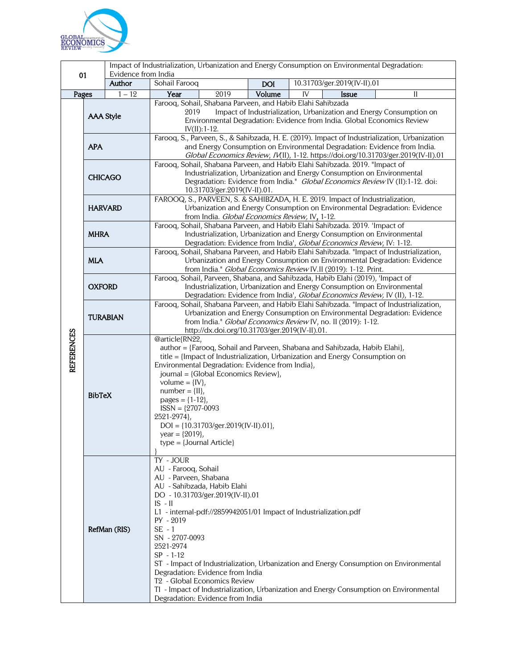

|                   |                  |                                      | Impact of Industrialization, Urbanization and Energy Consumption on Environmental Degradation:                                                                          |                                           |                                           |    |              |                                                                                               |  |
|-------------------|------------------|--------------------------------------|-------------------------------------------------------------------------------------------------------------------------------------------------------------------------|-------------------------------------------|-------------------------------------------|----|--------------|-----------------------------------------------------------------------------------------------|--|
| 01                |                  | Evidence from India<br><b>Author</b> | Sohail Farooq                                                                                                                                                           |                                           | 10.31703/ger.2019(IV-II).01<br><b>DOI</b> |    |              |                                                                                               |  |
| Pages             |                  | $1 - 12$                             | Year                                                                                                                                                                    | 2019                                      | Volume                                    | IV | <b>Issue</b> | Н                                                                                             |  |
|                   |                  |                                      | Farooq, Sohail, Shabana Parveen, and Habib Elahi Sahibzada                                                                                                              |                                           |                                           |    |              |                                                                                               |  |
|                   | <b>AAA Style</b> |                                      | Impact of Industrialization, Urbanization and Energy Consumption on<br>2019                                                                                             |                                           |                                           |    |              |                                                                                               |  |
|                   |                  |                                      | Environmental Degradation: Evidence from India. Global Economics Review<br>$IV(II): 1-12.$                                                                              |                                           |                                           |    |              |                                                                                               |  |
|                   |                  |                                      |                                                                                                                                                                         |                                           |                                           |    |              | Farooq, S., Parveen, S., & Sahibzada, H. E. (2019). Impact of Industrialization, Urbanization |  |
|                   | <b>APA</b>       |                                      |                                                                                                                                                                         |                                           |                                           |    |              |                                                                                               |  |
|                   |                  |                                      | and Energy Consumption on Environmental Degradation: Evidence from India.<br>Global Economics Review, IV(II), 1-12. https://doi.org/10.31703/ger.2019(IV-II).01         |                                           |                                           |    |              |                                                                                               |  |
|                   | <b>CHICAGO</b>   |                                      | Farooq, Sohail, Shabana Parveen, and Habib Elahi Sahibzada. 2019. "Impact of                                                                                            |                                           |                                           |    |              |                                                                                               |  |
|                   |                  |                                      | Industrialization, Urbanization and Energy Consumption on Environmental<br>Degradation: Evidence from India." Global Economics Review IV (II):1-12. doi:                |                                           |                                           |    |              |                                                                                               |  |
|                   |                  |                                      | 10.31703/ger.2019(IV-II).01.                                                                                                                                            |                                           |                                           |    |              |                                                                                               |  |
|                   | <b>HARVARD</b>   |                                      | FAROOQ, S., PARVEEN, S. & SAHIBZADA, H. E. 2019. Impact of Industrialization,                                                                                           |                                           |                                           |    |              |                                                                                               |  |
|                   |                  |                                      | Urbanization and Energy Consumption on Environmental Degradation: Evidence                                                                                              |                                           |                                           |    |              |                                                                                               |  |
|                   |                  |                                      | from India. Global Economics Review, IV, 1-12.<br>Farooq, Sohail, Shabana Parveen, and Habib Elahi Sahibzada. 2019. 'Impact of                                          |                                           |                                           |    |              |                                                                                               |  |
|                   | <b>MHRA</b>      |                                      |                                                                                                                                                                         |                                           |                                           |    |              | Industrialization, Urbanization and Energy Consumption on Environmental                       |  |
|                   |                  |                                      | Degradation: Evidence from India', Global Economics Review, IV: 1-12.                                                                                                   |                                           |                                           |    |              |                                                                                               |  |
|                   |                  |                                      | Faroog, Sohail, Shabana Parveen, and Habib Elahi Sahibzada. "Impact of Industrialization,                                                                               |                                           |                                           |    |              |                                                                                               |  |
|                   | <b>MLA</b>       |                                      | Urbanization and Energy Consumption on Environmental Degradation: Evidence<br>from India." Global Economics Review IV.II (2019): 1-12. Print.                           |                                           |                                           |    |              |                                                                                               |  |
|                   | <b>OXFORD</b>    |                                      | Farooq, Sohail, Parveen, Shabana, and Sahibzada, Habib Elahi (2019), 'Impact of                                                                                         |                                           |                                           |    |              |                                                                                               |  |
|                   |                  |                                      | Industrialization, Urbanization and Energy Consumption on Environmental<br>Degradation: Evidence from India', Global Economics Review, IV (II), 1-12.                   |                                           |                                           |    |              |                                                                                               |  |
|                   | <b>TURABIAN</b>  |                                      |                                                                                                                                                                         |                                           |                                           |    |              |                                                                                               |  |
|                   |                  |                                      | Farooq, Sohail, Shabana Parveen, and Habib Elahi Sahibzada. "Impact of Industrialization,<br>Urbanization and Energy Consumption on Environmental Degradation: Evidence |                                           |                                           |    |              |                                                                                               |  |
|                   |                  |                                      | from India." Global Economics Review IV, no. II (2019): 1-12.                                                                                                           |                                           |                                           |    |              |                                                                                               |  |
|                   |                  |                                      | http://dx.doi.org/10.31703/ger.2019(IV-II).01.<br>@article{RN22,                                                                                                        |                                           |                                           |    |              |                                                                                               |  |
| <b>REFERENCES</b> |                  |                                      |                                                                                                                                                                         |                                           |                                           |    |              |                                                                                               |  |
|                   | <b>BibTeX</b>    |                                      | author = {Farooq, Sohail and Parveen, Shabana and Sahibzada, Habib Elahi},<br>title = {Impact of Industrialization, Urbanization and Energy Consumption on              |                                           |                                           |    |              |                                                                                               |  |
|                   |                  |                                      | Environmental Degradation: Evidence from India},                                                                                                                        |                                           |                                           |    |              |                                                                                               |  |
|                   |                  |                                      | journal = {Global Economics Review},<br>volume = $\{IV\}$ ,                                                                                                             |                                           |                                           |    |              |                                                                                               |  |
|                   |                  |                                      | $number = \{II\},\$                                                                                                                                                     |                                           |                                           |    |              |                                                                                               |  |
|                   |                  |                                      | pages = ${1-12}$ ,                                                                                                                                                      |                                           |                                           |    |              |                                                                                               |  |
|                   |                  |                                      | $ISSN = {2707-0093}$<br>2521-2974},                                                                                                                                     |                                           |                                           |    |              |                                                                                               |  |
|                   |                  |                                      |                                                                                                                                                                         | $DOI = \{10.31703/ger.2019(IV-II).01\},\$ |                                           |    |              |                                                                                               |  |
|                   |                  |                                      | year = ${2019}$ ,                                                                                                                                                       |                                           |                                           |    |              |                                                                                               |  |
|                   |                  |                                      | $type = {Journal Article}$                                                                                                                                              |                                           |                                           |    |              |                                                                                               |  |
|                   |                  |                                      | TY - JOUR                                                                                                                                                               |                                           |                                           |    |              |                                                                                               |  |
|                   |                  |                                      | AU - Farooq, Sohail                                                                                                                                                     |                                           |                                           |    |              |                                                                                               |  |
|                   |                  |                                      | AU - Parveen, Shabana                                                                                                                                                   |                                           |                                           |    |              |                                                                                               |  |
|                   |                  |                                      | AU - Sahibzada, Habib Elahi<br>DO - 10.31703/ger.2019(IV-II).01                                                                                                         |                                           |                                           |    |              |                                                                                               |  |
|                   |                  |                                      | $IS - II$                                                                                                                                                               |                                           |                                           |    |              |                                                                                               |  |
|                   | RefMan (RIS)     |                                      | L1 - internal-pdf://2859942051/01 Impact of Industrialization.pdf                                                                                                       |                                           |                                           |    |              |                                                                                               |  |
|                   |                  |                                      | $PY - 2019$<br>$SE - 1$                                                                                                                                                 |                                           |                                           |    |              |                                                                                               |  |
|                   |                  |                                      | SN - 2707-0093                                                                                                                                                          |                                           |                                           |    |              |                                                                                               |  |
|                   |                  |                                      | 2521-2974                                                                                                                                                               |                                           |                                           |    |              |                                                                                               |  |
|                   |                  |                                      | $SP - 1-12$                                                                                                                                                             |                                           |                                           |    |              |                                                                                               |  |
|                   |                  |                                      | Degradation: Evidence from India                                                                                                                                        |                                           |                                           |    |              | ST - Impact of Industrialization, Urbanization and Energy Consumption on Environmental        |  |
|                   |                  |                                      | T <sub>2</sub> - Global Economics Review                                                                                                                                |                                           |                                           |    |              |                                                                                               |  |
|                   |                  |                                      |                                                                                                                                                                         |                                           |                                           |    |              | TI - Impact of Industrialization, Urbanization and Energy Consumption on Environmental        |  |
|                   |                  |                                      | Degradation: Evidence from India                                                                                                                                        |                                           |                                           |    |              |                                                                                               |  |